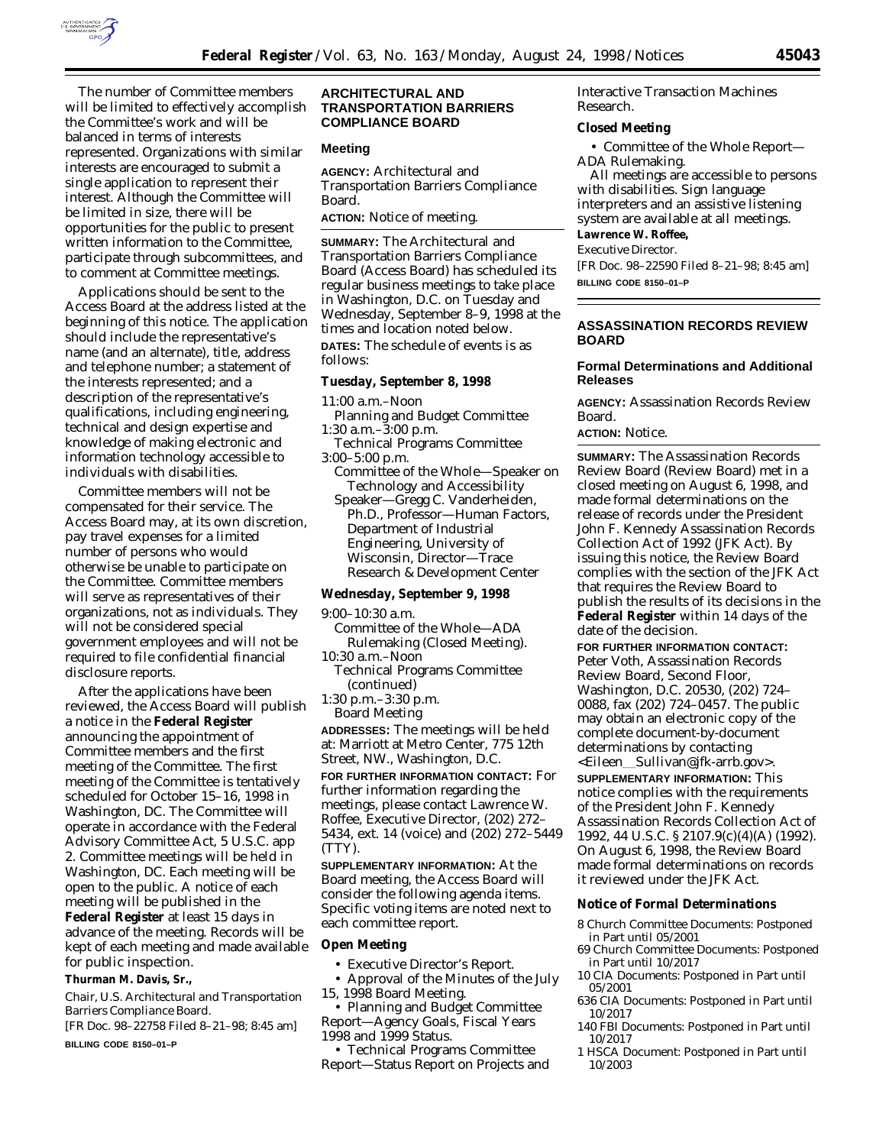

The number of Committee members will be limited to effectively accomplish the Committee's work and will be balanced in terms of interests represented. Organizations with similar interests are encouraged to submit a single application to represent their interest. Although the Committee will be limited in size, there will be opportunities for the public to present written information to the Committee, participate through subcommittees, and to comment at Committee meetings.

Applications should be sent to the Access Board at the address listed at the beginning of this notice. The application should include the representative's name (and an alternate), title, address and telephone number; a statement of the interests represented; and a description of the representative's qualifications, including engineering, technical and design expertise and knowledge of making electronic and information technology accessible to individuals with disabilities.

Committee members will not be compensated for their service. The Access Board may, at its own discretion, pay travel expenses for a limited number of persons who would otherwise be unable to participate on the Committee. Committee members will serve as representatives of their organizations, not as individuals. They will not be considered special government employees and will not be required to file confidential financial disclosure reports.

After the applications have been reviewed, the Access Board will publish a notice in the **Federal Register** announcing the appointment of Committee members and the first meeting of the Committee. The first meeting of the Committee is tentatively scheduled for October 15–16, 1998 in Washington, DC. The Committee will operate in accordance with the Federal Advisory Committee Act, 5 U.S.C. app 2. Committee meetings will be held in Washington, DC. Each meeting will be open to the public. A notice of each meeting will be published in the **Federal Register** at least 15 days in advance of the meeting. Records will be kept of each meeting and made available for public inspection.

#### **Thurman M. Davis, Sr.,**

*Chair, U.S. Architectural and Transportation Barriers Compliance Board.* [FR Doc. 98–22758 Filed 8–21–98; 8:45 am]

**BILLING CODE 8150–01–P**

### **ARCHITECTURAL AND TRANSPORTATION BARRIERS COMPLIANCE BOARD**

### **Meeting**

**AGENCY:** Architectural and Transportation Barriers Compliance Board.

**ACTION:** Notice of meeting.

**SUMMARY:** The Architectural and Transportation Barriers Compliance Board (Access Board) has scheduled its regular business meetings to take place in Washington, D.C. on Tuesday and Wednesday, September 8–9, 1998 at the times and location noted below.

**DATES:** The schedule of events is as follows:

#### **Tuesday, September 8, 1998**

11:00 a.m.–Noon

- Planning and Budget Committee 1:30 a.m.–3:00 p.m.
- Technical Programs Committee 3:00–5:00 p.m.
- Committee of the Whole—Speaker on Technology and Accessibility
- Speaker—Gregg C. Vanderheiden, Ph.D., Professor—Human Factors, Department of Industrial Engineering, University of Wisconsin, Director—Trace Research & Development Center

#### **Wednesday, September 9, 1998**

9:00–10:30 a.m.

- Committee of the Whole—ADA Rulemaking (Closed Meeting).
- 10:30 a.m.–Noon
	- Technical Programs Committee (continued)
- 1:30 p.m.–3:30 p.m. Board Meeting

**ADDRESSES:** The meetings will be held at: Marriott at Metro Center, 775 12th Street, NW., Washington, D.C.

**FOR FURTHER INFORMATION CONTACT:** For further information regarding the meetings, please contact Lawrence W. Roffee, Executive Director, (202) 272– 5434, ext. 14 (voice) and (202) 272–5449 (TTY).

**SUPPLEMENTARY INFORMATION:** At the Board meeting, the Access Board will consider the following agenda items. Specific voting items are noted next to each committee report.

#### **Open Meeting**

- Executive Director's Report.
- Approval of the Minutes of the July 15, 1998 Board Meeting.

• Planning and Budget Committee Report—Agency Goals, Fiscal Years 1998 and 1999 Status.

• Technical Programs Committee Report—Status Report on Projects and Interactive Transaction Machines Research.

#### **Closed Meeting**

• Committee of the Whole Report— ADA Rulemaking.

All meetings are accessible to persons with disabilities. Sign language interpreters and an assistive listening system are available at all meetings.

#### **Lawrence W. Roffee,** *Executive Director.*

[FR Doc. 98–22590 Filed 8–21–98; 8:45 am] **BILLING CODE 8150–01–P**

## **ASSASSINATION RECORDS REVIEW BOARD**

### **Formal Determinations and Additional Releases**

**AGENCY:** Assassination Records Review Board.

# **ACTION:** Notice.

**SUMMARY:** The Assassination Records Review Board (Review Board) met in a closed meeting on August 6, 1998, and made formal determinations on the release of records under the President John F. Kennedy Assassination Records Collection Act of 1992 (JFK Act). By issuing this notice, the Review Board complies with the section of the JFK Act that requires the Review Board to publish the results of its decisions in the **Federal Register** within 14 days of the date of the decision.

**FOR FURTHER INFORMATION CONTACT:** Peter Voth, Assassination Records Review Board, Second Floor, Washington, D.C. 20530, (202) 724– 0088, fax (202) 724–0457. The public may obtain an electronic copy of the complete document-by-document determinations by contacting <Eileen\_Sullivan@jfk-arrb.gov>.

**SUPPLEMENTARY INFORMATION:** This notice complies with the requirements of the President John F. Kennedy Assassination Records Collection Act of 1992, 44 U.S.C. § 2107.9(c)(4)(A) (1992). On August 6, 1998, the Review Board made formal determinations on records it reviewed under the JFK Act.

#### **Notice of Formal Determinations**

- 8 Church Committee Documents: Postponed in Part until 05/2001
- 69 Church Committee Documents: Postponed in Part until 10/2017
- 10 CIA Documents: Postponed in Part until 05/2001
- 636 CIA Documents: Postponed in Part until 10/2017
- 140 FBI Documents: Postponed in Part until 10/2017
- 1 HSCA Document: Postponed in Part until 10/2003